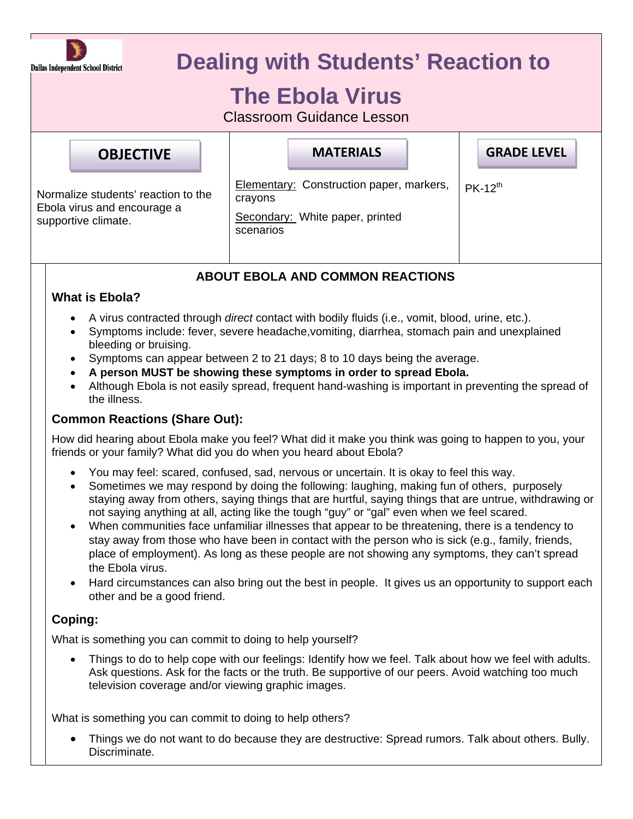

# **Dealing with Students' Reaction to**

# **The Ebola Virus**

Classroom Guidance Lesson

| <b>OBJECTIVE</b>                                                                          | <b>MATERIALS</b>                                                                                           | <b>GRADE LEVEL</b> |
|-------------------------------------------------------------------------------------------|------------------------------------------------------------------------------------------------------------|--------------------|
| Normalize students' reaction to the<br>Ebola virus and encourage a<br>supportive climate. | <b>Elementary: Construction paper, markers,</b><br>crayons<br>Secondary: White paper, printed<br>scenarios | $PK-12^{th}$       |

## **ABOUT EBOLA AND COMMON REACTIONS**

### **What is Ebola?**

- A virus contracted through *direct* contact with bodily fluids (i.e., vomit, blood, urine, etc.).
- Symptoms include: fever, severe headache,vomiting, diarrhea, stomach pain and unexplained bleeding or bruising.
- Symptoms can appear between 2 to 21 days; 8 to 10 days being the average.
- **A person MUST be showing these symptoms in order to spread Ebola.**
- Although Ebola is not easily spread, frequent hand-washing is important in preventing the spread of the illness.

### **Common Reactions (Share Out):**

How did hearing about Ebola make you feel? What did it make you think was going to happen to you, your friends or your family? What did you do when you heard about Ebola?

- You may feel: scared, confused, sad, nervous or uncertain. It is okay to feel this way.
- Sometimes we may respond by doing the following: laughing, making fun of others, purposely staying away from others, saying things that are hurtful, saying things that are untrue, withdrawing or not saying anything at all, acting like the tough "guy" or "gal" even when we feel scared.
- When communities face unfamiliar illnesses that appear to be threatening, there is a tendency to stay away from those who have been in contact with the person who is sick (e.g., family, friends, place of employment). As long as these people are not showing any symptoms, they can't spread the Ebola virus.
- Hard circumstances can also bring out the best in people. It gives us an opportunity to support each other and be a good friend.

## **Coping:**

What is something you can commit to doing to help yourself?

• Things to do to help cope with our feelings: Identify how we feel. Talk about how we feel with adults. Ask questions. Ask for the facts or the truth. Be supportive of our peers. Avoid watching too much television coverage and/or viewing graphic images.

What is something you can commit to doing to help others?

 Things we do not want to do because they are destructive: Spread rumors. Talk about others. Bully. Discriminate.